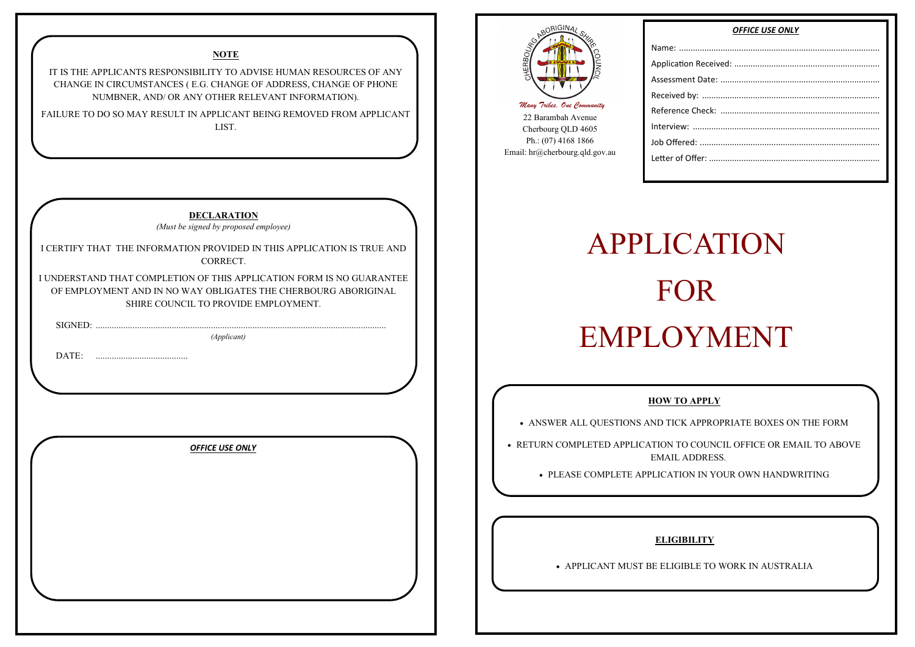| SIGNED:<br>DATE: | I CERTIFY THAT THE INFORMATION PROVIDED IN THIS APPLICATION IS TRUE AND<br>CORRECT.<br>I UNDERSTAND THAT COMPLETION OF THIS APPLICATION FORM IS NO GUARANTEE<br>OF EMPLOYMENT AND IN NO WAY OBLIGATES THE CHERBOURG ABORIGINAL<br>SHIRE COUNCIL TO PROVIDE EMPLOYMENT.<br>(Applicant) |  |
|------------------|---------------------------------------------------------------------------------------------------------------------------------------------------------------------------------------------------------------------------------------------------------------------------------------|--|
|                  | <b>OFFICE USE ONLY</b>                                                                                                                                                                                                                                                                |  |
|                  |                                                                                                                                                                                                                                                                                       |  |

#### **NOTE**

IT IS THE APPLICANTS RESPONSIBILITY TO ADVISE HUMAN RESOURCES OF ANY CHANGE IN CIRCUMSTANCES ( E.G. CHANGE OF ADDRESS, CHANGE OF PHONE NUMBNER, AND/ OR ANY OTHER RELEVANT INFORMATION).

FAILURE TO DO SO MAY RESULT IN APPLICANT BEING REMOVED FROM APPLICANT LIST.



22 Barambah Avenue Cherbourg QLD 4605 Ph.: (07) 4168 1866 Email: hr@cherbourg.qld.gov.au Name: ...... Application Assessmen Received b Reference Interview: Job Offered Letter of Of

# APPLICATION FOR EMPLOYMENT

## *OFFICE USE ONLY*

#### **HOW TO APPLY**

ANSWER ALL QUESTIONS AND TICK APPROPRIATE BOXES ON THE FORM

- RETURN COMPLETED APPLICATION TO COUNCIL OFFICE OR EMAIL TO ABOVE EMAIL ADDRESS.
	- PLEASE COMPLETE APPLICATION IN YOUR OWN HANDWRITING

### **ELIGIBILITY**

APPLICANT MUST BE ELIGIBLE TO WORK IN AUSTRALIA